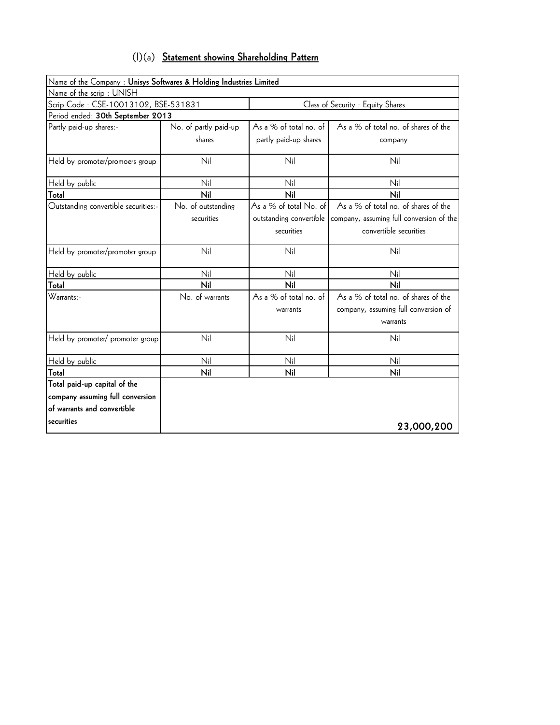| $(1)(a)$ Statement showing Shareholding Pattern |
|-------------------------------------------------|
|-------------------------------------------------|

| Name of the Company : Unisys Softwares & Holding Industries Limited |                       |                         |                                          |
|---------------------------------------------------------------------|-----------------------|-------------------------|------------------------------------------|
| Name of the scrip: UNISH                                            |                       |                         |                                          |
| Scrip Code: CSE-10013102, BSE-531831                                |                       |                         | Class of Security : Equity Shares        |
| Period ended: 30th September 2013                                   |                       |                         |                                          |
| Partly paid-up shares:-                                             | No. of partly paid-up | As a % of total no. of  | As a % of total no. of shares of the     |
|                                                                     | shares                | partly paid-up shares   | company                                  |
| Held by promoter/promoers group                                     | Nil                   | Nil                     | Nil                                      |
| Held by public                                                      | Nil                   | Nil                     | Nil                                      |
| Total                                                               | Nil                   | Nil                     | Nil                                      |
| Outstanding convertible securities:-                                | No. of outstanding    | As a % of total No. of  | As a % of total no. of shares of the     |
|                                                                     | securities            | outstanding convertible | company, assuming full conversion of the |
|                                                                     |                       | securities              | convertible securities                   |
| Held by promoter/promoter group                                     | Nil                   | Nil                     | Nil                                      |
| Held by public                                                      | Nil                   | Nil                     | Nil                                      |
| Total                                                               | Nil                   | Nil                     | Nil                                      |
| $Warrants$ .                                                        | No. of warrants       | As a % of total no. of  | As a % of total no. of shares of the     |
|                                                                     |                       | warrants                | company, assuming full conversion of     |
|                                                                     |                       |                         | warrants                                 |
| Held by promoter/ promoter group                                    | Nil                   | Nil                     | Nil                                      |
| Held by public                                                      | Nil                   | Nil                     | Nil                                      |
| Total                                                               | Nil                   | Nil                     | Nil                                      |
| Total paid-up capital of the                                        |                       |                         |                                          |
| company assuming full conversion                                    |                       |                         |                                          |
| of warrants and convertible                                         |                       |                         |                                          |
| securities                                                          |                       |                         | 23,000,200                               |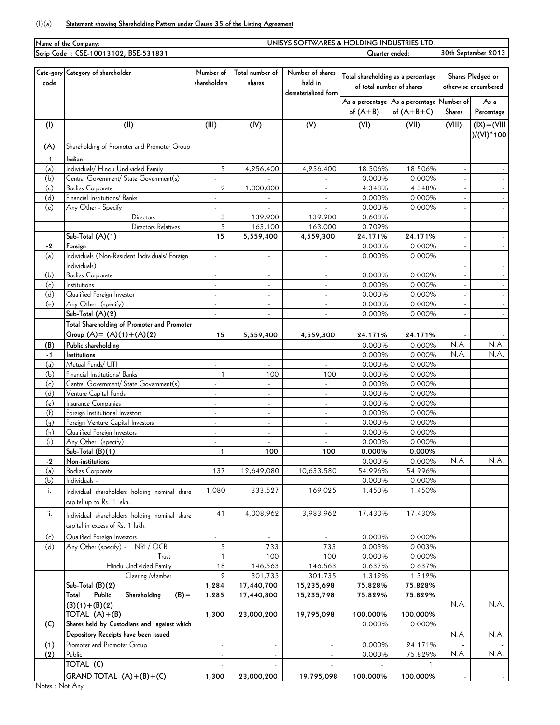## (I)(a) **Statement showing Shareholding Pattern under Clause 35 of the Listing Agreement**

|                                      | Name of the Company:                           | UNISYS SOFTWARES & HOLDING INDUSTRIES LTD. |                          |                          |                           |                                    |           |                      |  |  |  |  |
|--------------------------------------|------------------------------------------------|--------------------------------------------|--------------------------|--------------------------|---------------------------|------------------------------------|-----------|----------------------|--|--|--|--|
| Scrip Code: CSE-10013102, BSE-531831 |                                                |                                            |                          | Quarter ended:           | 30th September 2013       |                                    |           |                      |  |  |  |  |
|                                      |                                                |                                            |                          |                          |                           |                                    |           |                      |  |  |  |  |
|                                      | Cate-gory Category of shareholder              | Number of                                  | Total number of          | Number of shares         |                           | Total shareholding as a percentage |           | Shares Pledged or    |  |  |  |  |
| code                                 |                                                | shareholders                               | shares                   | held in                  | of total number of shares |                                    |           | otherwise encumbered |  |  |  |  |
|                                      |                                                |                                            |                          | dematerialized form      |                           |                                    |           |                      |  |  |  |  |
|                                      |                                                |                                            |                          |                          |                           | As a percentage As a percentage    | Number of | As a                 |  |  |  |  |
|                                      |                                                |                                            |                          |                          | of $(A+B)$                | of $(A+B+C)$                       | Shares    | Percentage           |  |  |  |  |
| (1)                                  | (II)                                           | (III)                                      | (IV)                     | (V)                      | (VI)                      | (VII)                              | (VIII)    | $IIV = (XI)$         |  |  |  |  |
|                                      |                                                |                                            |                          |                          |                           |                                    |           | $)/(V1)^*100$        |  |  |  |  |
|                                      |                                                |                                            |                          |                          |                           |                                    |           |                      |  |  |  |  |
| (A)                                  | Shareholding of Promoter and Promoter Group    |                                            |                          |                          |                           |                                    |           |                      |  |  |  |  |
| $-1$                                 | Indian                                         |                                            |                          |                          |                           |                                    |           |                      |  |  |  |  |
| (a)                                  | Individuals/ Hindu Undivided Family            | 5                                          | 4,256,400                | 4,256,400                | 18.506%                   | 18.506%                            |           |                      |  |  |  |  |
| (b)                                  | Central Government/ State Government(s)        |                                            |                          | ä,                       | 0.000%                    | 0.000%                             |           |                      |  |  |  |  |
| (c)                                  | <b>Bodies Corporate</b>                        | $\mathbf{2}$                               | 1,000,000                |                          | 4.348%                    | 4.348%                             |           |                      |  |  |  |  |
| (d)                                  | Financial Institutions/ Banks                  |                                            | $\mathcal{L}$            | $\omega$                 | 0.000%                    | 0.000%                             | $\omega$  | $\sim$               |  |  |  |  |
| (e)                                  | Any Other - Specify                            |                                            |                          |                          | 0.000%                    | 0.000%                             |           | $\sim$               |  |  |  |  |
|                                      | Directors                                      | 3                                          | 139,900                  | 139,900                  | 0.608%                    |                                    |           |                      |  |  |  |  |
|                                      | Directors Relatives                            | 5                                          | 163,100                  | 163,000                  | 0.709%                    |                                    |           |                      |  |  |  |  |
|                                      | Sub-Total (A)(1)                               | 15                                         | 5,559,400                | 4,559,300                | 24.171%                   | 24.171%                            |           |                      |  |  |  |  |
| -2                                   | Foreign                                        |                                            |                          |                          | 0.000%                    | 0.000%                             |           | $\omega_{\rm c}$     |  |  |  |  |
| (a)                                  | Individuals (Non-Resident Individuals/ Foreign |                                            |                          |                          | 0.000%                    | 0.000%                             |           |                      |  |  |  |  |
|                                      | Individuals)                                   |                                            |                          |                          |                           |                                    |           |                      |  |  |  |  |
| (b)                                  | <b>Bodies Corporate</b>                        |                                            | $\blacksquare$           | $\blacksquare$           | 0.000%                    | 0.000%                             | ÷.        | $\sim$               |  |  |  |  |
| (c)                                  | Institutions                                   | $\sim$                                     | $\overline{\phantom{a}}$ | $\overline{\phantom{a}}$ | 0.000%                    | 0.000%                             |           |                      |  |  |  |  |
| (d)                                  | Qualified Foreign Investor                     | ÷.                                         | ÷                        | $\sim$                   | 0.000%                    | 0.000%                             |           | $\omega$             |  |  |  |  |
| (e)                                  | Any Other (specify)                            | ÷.                                         | ÷,                       | $\sim$                   | 0.000%                    | 0.000%                             |           |                      |  |  |  |  |
|                                      | Sub-Total (A)(2)                               | ÷.                                         | L.                       | ä,                       | 0.000%                    | 0.000%                             | ä,        | $\sim$               |  |  |  |  |
|                                      | Total Shareholding of Promoter and Promoter    |                                            |                          |                          |                           |                                    |           |                      |  |  |  |  |
|                                      | Group $(A) = (A)(1) + (A)(2)$                  | 15                                         | 5,559,400                | 4,559,300                | 24.171%                   | 24.171%                            |           |                      |  |  |  |  |
| (B)                                  | Public shareholding                            |                                            |                          |                          | 0.000%                    | 0.000%                             | N.A.      | N.A.                 |  |  |  |  |
| -1                                   | Institutions                                   |                                            |                          |                          | 0.000%                    | 0.000%                             | N.A.      | N.A.                 |  |  |  |  |
| (a)                                  | Mutual Funds/ UTI                              |                                            |                          |                          | 0.000%                    | 0.000%                             |           |                      |  |  |  |  |
| (b)                                  | Financial Institutions/ Banks                  | $\mathbf{1}$                               | 100                      | 100                      | 0.000%                    | 0.000%                             |           |                      |  |  |  |  |
| (c)                                  | Central Government/ State Government(s)        | $\sim$                                     | $\omega$                 | $\blacksquare$           | 0.000%                    | 0.000%                             |           |                      |  |  |  |  |
| (d)                                  | Venture Capital Funds                          | $\sim$                                     | ÷.                       | $\omega$                 | 0.000%                    | 0.000%                             |           |                      |  |  |  |  |
| (e)                                  | Insurance Companies                            | $\sim$                                     | ÷.                       | $\sim$                   | 0.000%                    | 0.000%                             |           |                      |  |  |  |  |
| (f)                                  | Foreign Institutional Investors                | ÷.                                         | ÷.                       | $\omega$                 | 0.000%                    | 0.000%                             |           |                      |  |  |  |  |
| (g)                                  | Foreign Venture Capital Investors              | $\overline{\phantom{a}}$                   | $\blacksquare$           | $\overline{\phantom{a}}$ | 0.000%                    | 0.000%                             |           |                      |  |  |  |  |
| (h)                                  | Qualified Foreign Investors                    |                                            | ÷,                       | ÷,                       | 0.000%                    | 0.000%                             |           |                      |  |  |  |  |
| (i)                                  | Any Other (specify)                            |                                            | ä,                       | ä,                       | 0.000%                    | 0.000%                             |           |                      |  |  |  |  |
|                                      | Sub-Total (B)(1)                               | $\mathbf{1}$                               | 100                      | 100                      | 0.000%                    | 0.000%                             |           |                      |  |  |  |  |
| $-2$                                 | Non-institutions                               |                                            |                          |                          | 0.000%                    | 0.000%                             | N.A.      | N.A.                 |  |  |  |  |
| (a)                                  | <b>Bodies Corporate</b>                        | 137                                        | 12,649,080               | 10,633,580               | 54.996%                   | 54.996%                            |           |                      |  |  |  |  |
| (b)                                  | Individuals -                                  |                                            |                          |                          | 0.000%                    | 0.000%                             |           |                      |  |  |  |  |
| i.                                   | Individual shareholders holding nominal share  | 1,080                                      | 333,527                  | 169,025                  | 1.450%                    | 1.450%                             |           |                      |  |  |  |  |
|                                      | capital up to Rs. 1 lakh.                      |                                            |                          |                          |                           |                                    |           |                      |  |  |  |  |
| ii.                                  |                                                | 41                                         | 4,008,962                | 3,983,962                | 17.430%                   | 17.430%                            |           |                      |  |  |  |  |
|                                      | Individual shareholders holding nominal share  |                                            |                          |                          |                           |                                    |           |                      |  |  |  |  |
|                                      | capital in excess of Rs. 1 lakh.               |                                            |                          |                          |                           |                                    |           |                      |  |  |  |  |
| (c)                                  | Qualified Foreign Investors                    | $\overline{\phantom{a}}$                   | $\overline{\phantom{a}}$ |                          | 0.000%                    | 0.000%                             |           |                      |  |  |  |  |
| (d)                                  | NRI / OCB<br>Any Other (specify) -             | 5                                          | 733                      | 733                      | 0.003%                    | 0.003%                             |           |                      |  |  |  |  |
|                                      | Trust                                          | $\mathbf{1}$                               | 100                      | 100                      | 0.000%                    | 0.000%                             |           |                      |  |  |  |  |
|                                      | Hindu Undivided Family                         | 18                                         | 146,563                  | 146,563                  | 0.637%                    | 0.637%                             |           |                      |  |  |  |  |
|                                      | Clearing Member                                | $\overline{2}$                             | 301,735                  | 301,735                  | 1.312%                    | 1.312%                             |           |                      |  |  |  |  |
|                                      | Sub-Total (B)(2)                               | 1,284                                      | 17,440,700               | 15,235,698               | 75.828%                   | 75.828%                            |           |                      |  |  |  |  |
|                                      | Public<br>Shareholding<br>$(B) =$<br>Total     | 1,285                                      | 17,440,800               | 15,235,798               | 75.829%                   | 75.829%                            |           |                      |  |  |  |  |
|                                      | $(B)(1)+(B)(2)$                                |                                            |                          |                          |                           |                                    | N.A.      | N.A.                 |  |  |  |  |
|                                      | TOTAL $(A)+(B)$                                | 1,300                                      | 23,000,200               | 19,795,098               | 100.000%                  | 100.000%                           |           |                      |  |  |  |  |
| (C)                                  | Shares held by Custodians and against which    |                                            |                          |                          | 0.000%                    | 0.000%                             |           |                      |  |  |  |  |
|                                      | Depository Receipts have been issued           |                                            |                          |                          |                           |                                    | N.A.      | N.A.                 |  |  |  |  |
| (1)                                  | Promoter and Promoter Group                    |                                            | $\overline{\phantom{a}}$ |                          | 0.000%                    | 24.171%                            |           |                      |  |  |  |  |
| (2)                                  | Public                                         | $\omega$                                   | ÷.                       | $\omega$                 | 0.000%                    | 75.829%                            | N.A.      | N.A.                 |  |  |  |  |
|                                      | TOTAL (C)                                      |                                            | $\overline{\phantom{a}}$ |                          |                           |                                    |           |                      |  |  |  |  |
|                                      | GRAND TOTAL $(A)+(B)+(C)$                      | 1,300                                      | 23,000,200               | 19,795,098               | 100.000%                  | 100.000%                           | $\omega$  | $\sim$               |  |  |  |  |

Notes : Not Any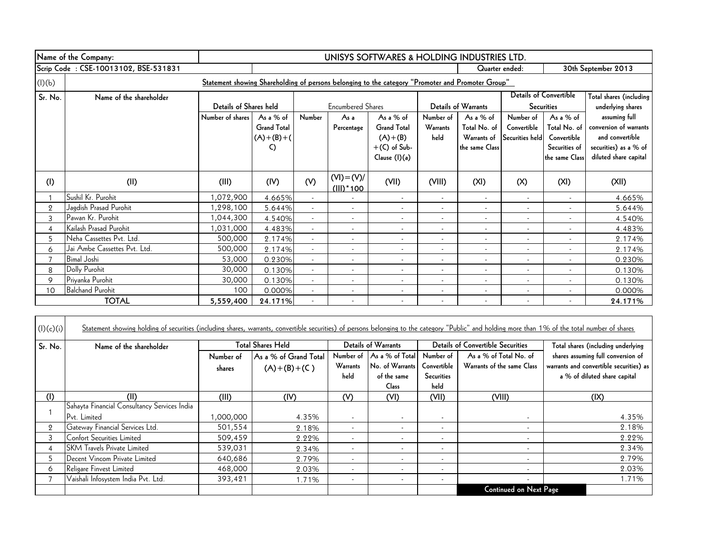|         | Name of the Company:                 | UNISYS SOFTWARES & HOLDING INDUSTRIES LTD.                                                        |                    |                          |                          |                          |                          |                          |                          |                               |                         |
|---------|--------------------------------------|---------------------------------------------------------------------------------------------------|--------------------|--------------------------|--------------------------|--------------------------|--------------------------|--------------------------|--------------------------|-------------------------------|-------------------------|
|         | Scrip Code: CSE-10013102, BSE-531831 |                                                                                                   |                    |                          |                          |                          |                          | Quarter ended:           |                          |                               | 30th September 2013     |
| (I)(b)  |                                      | Statement showing Shareholding of persons belonging to the category "Promoter and Promoter Group" |                    |                          |                          |                          |                          |                          |                          |                               |                         |
| Sr. No. | Name of the shareholder              |                                                                                                   |                    |                          |                          |                          |                          |                          |                          | <b>Details of Convertible</b> | Total shares (including |
|         |                                      | Details of Shares held                                                                            |                    |                          | <b>Encumbered Shares</b> |                          |                          | Details of Warrants      |                          | <b>Securities</b>             | underlying shares       |
|         |                                      | Number of shares                                                                                  | As a $%$ of        | Number                   | As a                     | As a $%$ of              | Number of                | As a % of                | Number of                | As a % of                     | assuming full           |
|         |                                      |                                                                                                   | <b>Grand Total</b> |                          | Percentage               | <b>Grand Total</b>       | Warrants                 | Total No. of             | Convertible              | Total No. of                  | conversion of warrants  |
|         |                                      |                                                                                                   | $(A)+(B)+(A)$      |                          |                          | $(A)+(B)$                | held                     | Warrants of              | Securities held          | Convertible                   | and convertible         |
|         |                                      |                                                                                                   | C)                 |                          |                          | $+(C)$ of Sub-           |                          | the same Class           |                          | Securities of                 | securities) as a % of   |
|         |                                      |                                                                                                   |                    |                          |                          | Clause (I)(a)            |                          |                          |                          | the same Class                | diluted share capital   |
| (1)     | (II)                                 | (III)                                                                                             | (IV)               | (V)                      | $(VI) = (V)/$            | (VII)                    | (VIII)                   | (XI)                     | (X)                      | (XI)                          | (XII)                   |
|         |                                      |                                                                                                   |                    |                          | $(III)^*$ 100            |                          |                          |                          |                          |                               |                         |
|         | Sushil Kr. Purohit                   | 1,072,900                                                                                         | 4.665%             | $\overline{\phantom{a}}$ |                          | $\overline{\phantom{a}}$ | $\overline{\phantom{a}}$ | $\overline{\phantom{a}}$ | $\overline{\phantom{a}}$ | $\overline{\phantom{a}}$      | 4.665%                  |
| 2       | Jagdish Prasad Purohit               | 1,298,100                                                                                         | 5.644%             |                          | $\overline{\phantom{a}}$ |                          |                          | $\overline{\phantom{a}}$ | $\overline{\phantom{a}}$ |                               | 5.644%                  |
| 3       | Pawan Kr. Purohit                    | 1,044,300                                                                                         | 4.540%             |                          |                          |                          |                          | $\overline{\phantom{a}}$ |                          |                               | 4.540%                  |
| 4       | Kailash Prasad Purohit               | 1,031,000                                                                                         | 4.483%             |                          | $\overline{\phantom{a}}$ |                          | $\overline{\phantom{a}}$ | $\overline{\phantom{a}}$ | $\overline{\phantom{a}}$ |                               | 4.483%                  |
| 5       | Neha Cassettes Pvt. Ltd.             | 500,000                                                                                           | 2.174%             | $\overline{\phantom{0}}$ |                          |                          |                          | $\overline{\phantom{a}}$ |                          |                               | 2.174%                  |
| 6       | Jai Ambe Cassettes Pvt. Ltd.         | 500,000                                                                                           | 2.174%             |                          |                          |                          | $\overline{a}$           | $\overline{\phantom{a}}$ |                          |                               | 2.174%                  |
|         | <b>Bimal Joshi</b>                   | 53,000                                                                                            | 0.230%             |                          |                          |                          | $\overline{a}$           | $\overline{\phantom{a}}$ |                          |                               | 0.230%                  |
| 8       | Dolly Purohit                        | 30,000                                                                                            | 0.130%             |                          | $\overline{\phantom{a}}$ |                          | $\overline{\phantom{a}}$ | $\overline{\phantom{a}}$ | $\overline{\phantom{a}}$ |                               | 0.130%                  |
| 9       | Priyanka Purohit                     | 30,000                                                                                            | 0.130%             |                          | $\overline{\phantom{a}}$ |                          | $\overline{\phantom{a}}$ | $\overline{\phantom{a}}$ | $\overline{\phantom{a}}$ |                               | 0.130%                  |
| 10      | <b>Balchand Purohit</b>              | 100                                                                                               | 0.000%             |                          |                          |                          | $\overline{\phantom{a}}$ | $\overline{\phantom{a}}$ | $\overline{\phantom{a}}$ |                               | 0.000%                  |
|         | <b>TOTAL</b>                         | 5,559,400                                                                                         | 24.171%            |                          |                          |                          |                          |                          |                          |                               | 24.171%                 |

| (l)(c)(i)      | Statement showing holding of securities (including shares, warrants, convertible securities) of persons belonging to the category "Public" and holding more than 1% of the total number of shares |           |                          |                          |                            |                          |                                          |                                         |
|----------------|---------------------------------------------------------------------------------------------------------------------------------------------------------------------------------------------------|-----------|--------------------------|--------------------------|----------------------------|--------------------------|------------------------------------------|-----------------------------------------|
| Sr. No.        | Name of the shareholder                                                                                                                                                                           |           | <b>Total Shares Held</b> |                          | <b>Details of Warrants</b> |                          | <b>Details of Convertible Securities</b> | Total shares (including underlying      |
|                |                                                                                                                                                                                                   | Number of | As a % of Grand Total    | Number of                | As a % of Total            | Number of                | As a % of Total No. of                   | shares assuming full conversion of      |
|                |                                                                                                                                                                                                   | shares    | $(A)+(B)+(C)$            | Warrants                 | No. of Warrants            | Convertible              | Warrants of the same Class               | warrants and convertible securities) as |
|                |                                                                                                                                                                                                   |           |                          | held                     | of the same                | <b>Securities</b>        |                                          | a % of diluted share capital            |
|                |                                                                                                                                                                                                   |           |                          |                          | Class                      | held                     |                                          |                                         |
| (1)            | (II)                                                                                                                                                                                              | (III)     | (IV)                     | (V)                      | (VI)                       | (VII)                    | (VIII)                                   | $( X\rangle)$                           |
|                | Sahayta Financial Consultancy Services India                                                                                                                                                      |           |                          |                          |                            |                          |                                          |                                         |
|                | Pvt. Limited                                                                                                                                                                                      | 000,000,1 | 4.35%                    | $\overline{\phantom{a}}$ | $\overline{\phantom{a}}$   | $\overline{\phantom{a}}$ |                                          | 4.35%                                   |
| $\overline{2}$ | Gateway Financial Services Ltd.                                                                                                                                                                   | 501,554   | 2.18%                    | $\overline{\phantom{0}}$ | $\overline{\phantom{a}}$   | $\overline{\phantom{a}}$ | $\overline{\phantom{a}}$                 | 2.18%                                   |
|                | Confort Securities Limited                                                                                                                                                                        | 509,459   | 2.22%                    | $\overline{\phantom{a}}$ | $\overline{\phantom{a}}$   | $\overline{\phantom{a}}$ | $\overline{\phantom{a}}$                 | 2.22%                                   |
|                | <b>SKM</b> Travels Private Limited                                                                                                                                                                | 539,031   | 2.34%                    | $\overline{\phantom{a}}$ | $\overline{\phantom{a}}$   | $\overline{\phantom{a}}$ | $\overline{\phantom{a}}$                 | 2.34%                                   |
| 5              | Decent Vincom Private Limited                                                                                                                                                                     | 640,686   | 2.79%                    | $\overline{\phantom{a}}$ | $\overline{\phantom{a}}$   | $\overline{\phantom{a}}$ |                                          | 2.79%                                   |
| 6              | Religare Finvest Limited                                                                                                                                                                          | 468,000   | 2.03%                    | $\overline{\phantom{a}}$ | $\overline{\phantom{a}}$   | $\overline{\phantom{a}}$ | $\overline{\phantom{a}}$                 | 2.03%                                   |
|                | Vaishali Infosystem India Pvt. Ltd.                                                                                                                                                               | 393,421   | 1.71%                    | $\overline{\phantom{a}}$ | $\overline{\phantom{a}}$   | $\overline{\phantom{a}}$ | $\overline{\phantom{a}}$                 | 1.71%                                   |
|                |                                                                                                                                                                                                   |           |                          |                          |                            |                          | <b>Continued on Next Page</b>            |                                         |

┑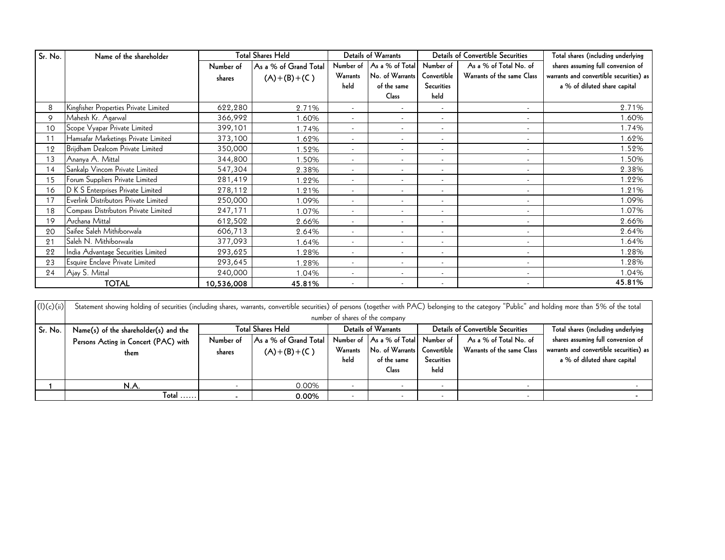| Sr. No. | Name of the shareholder               |            | <b>Total Shares Held</b> |                          | <b>Details of Warrants</b> |                          | <b>Details of Convertible Securities</b> | Total shares (including underlying      |
|---------|---------------------------------------|------------|--------------------------|--------------------------|----------------------------|--------------------------|------------------------------------------|-----------------------------------------|
|         |                                       | Number of  | As a % of Grand Total    | Number of                | As a % of Total            | Number of                | As a % of Total No. of                   | shares assuming full conversion of      |
|         |                                       | shares     | $(A)+(B)+(C)$            | Warrants                 | No. of Warrants            | Convertible              | Warrants of the same Class               | warrants and convertible securities) as |
|         |                                       |            |                          | held                     | of the same                | <b>Securities</b>        |                                          | a % of diluted share capital            |
|         |                                       |            |                          |                          | Class                      | held                     |                                          |                                         |
| 8       | Kingfisher Properties Private Limited | 622,280    | 2.71%                    | $\overline{\phantom{a}}$ |                            |                          |                                          | 2.71%                                   |
| 9       | Mahesh Kr. Agarwal                    | 366,992    | 1.60%                    | $\overline{\phantom{a}}$ | $\overline{\phantom{a}}$   |                          | $\overline{\phantom{a}}$                 | 1.60%                                   |
| 10      | Scope Vyapar Private Limited          | 399,101    | 1.74%                    | $\overline{\phantom{a}}$ | $\overline{\phantom{a}}$   | $\overline{\phantom{a}}$ | $\overline{\phantom{a}}$                 | 1.74%                                   |
| 11      | Hamsafar Marketings Private Limited   | 373,100    | .62%                     | $\blacksquare$           | $\overline{\phantom{a}}$   | $\overline{\phantom{a}}$ | $\overline{\phantom{a}}$                 | 1.62%                                   |
| 12      | Brijdham Dealcom Private Limited      | 350,000    | .52%                     | $\overline{\phantom{a}}$ | $\overline{\phantom{a}}$   | $\overline{\phantom{a}}$ | $\overline{\phantom{a}}$                 | 1.52%                                   |
| 13      | Ananya A. Mittal                      | 344,800    | .50%                     | $\overline{\phantom{a}}$ | $\overline{\phantom{a}}$   |                          | $\overline{\phantom{a}}$                 | 1.50%                                   |
| 14      | Sankalp Vincom Private Limited        | 547,304    | 2.38%                    |                          | $\overline{\phantom{a}}$   |                          | $\overline{\phantom{a}}$                 | 2.38%                                   |
| 15      | Forum Suppliers Private Limited       | 281,419    | 1.22%                    | $\overline{\phantom{a}}$ | $\overline{\phantom{a}}$   |                          | $\overline{\phantom{a}}$                 | 1.22%                                   |
| 16      | D K S Enterprises Private Limited     | 278,112    | 1.21%                    | $\overline{\phantom{a}}$ | $\overline{a}$             |                          | $\overline{\phantom{a}}$                 | 1.21%                                   |
| 17      | Everlink Distributors Private Limited | 250,000    | .09%                     | $\overline{\phantom{a}}$ | $\overline{\phantom{a}}$   | $\overline{\phantom{a}}$ | $\overline{\phantom{a}}$                 | 1.09%                                   |
| 18      | Compass Distributors Private Limited  | 247,171    | 1.07%                    | $\overline{\phantom{a}}$ | $\overline{a}$             | $\overline{\phantom{a}}$ | $\overline{\phantom{a}}$                 | 1.07%                                   |
| 19      | Archana Mittal                        | 612,502    | 2.66%                    | $\overline{\phantom{a}}$ | $\overline{a}$             |                          | $\overline{\phantom{a}}$                 | 2.66%                                   |
| 20      | Saifee Saleh Mithiborwala             | 606,713    | 2.64%                    | $\overline{\phantom{a}}$ | $\overline{\phantom{a}}$   | $\overline{\phantom{a}}$ | $\overline{\phantom{a}}$                 | 2.64%                                   |
| 21      | Saleh N. Mithiborwala                 | 377,093    | 1.64%                    | $\overline{\phantom{a}}$ | $\overline{a}$             | $\overline{\phantom{a}}$ | $\overline{\phantom{a}}$                 | 1.64%                                   |
| 22      | India Advantage Securities Limited    | 293,625    | .28%                     | $\blacksquare$           | $\overline{\phantom{a}}$   | $\overline{\phantom{a}}$ | $\overline{\phantom{a}}$                 | 1.28%                                   |
| 23      | Esquire Enclave Private Limited       | 293,645    | .28%                     | $\overline{\phantom{a}}$ | $\overline{\phantom{a}}$   | $\overline{\phantom{a}}$ | $\overline{\phantom{a}}$                 | 1.28%                                   |
| 24      | Ajay S. Mittal                        | 240,000    | 1.04%                    | $\overline{\phantom{a}}$ |                            |                          | $\overline{\phantom{a}}$                 | 1.04%                                   |
|         | <b>TOTAL</b>                          | 10,536,008 | 45.81%                   | $\overline{\phantom{a}}$ | $\overline{\phantom{a}}$   | $\overline{\phantom{a}}$ | $\overline{\phantom{a}}$                 | 45.81%                                  |

|            | N.A.                                                                                                                                                                                                 | $\overline{\phantom{0}}$ | 0.00%                    | $\overline{\phantom{0}}$ | Class<br>$\overline{\phantom{0}}$ | held<br>$\overline{\phantom{a}}$ | $\overline{\phantom{0}}$                 |                                         |  |  |
|------------|------------------------------------------------------------------------------------------------------------------------------------------------------------------------------------------------------|--------------------------|--------------------------|--------------------------|-----------------------------------|----------------------------------|------------------------------------------|-----------------------------------------|--|--|
|            |                                                                                                                                                                                                      |                          |                          |                          |                                   |                                  |                                          |                                         |  |  |
|            |                                                                                                                                                                                                      |                          |                          |                          |                                   |                                  |                                          |                                         |  |  |
|            |                                                                                                                                                                                                      |                          |                          | held                     | of the same                       | Securities                       |                                          | a % of diluted share capital            |  |  |
|            | them                                                                                                                                                                                                 | shares                   | $(A)+(B)+(C)$            | Warrants                 | No. of Warrants                   | Convertible                      | Warrants of the same Class               | warrants and convertible securities) as |  |  |
|            | Persons Acting in Concert (PAC) with                                                                                                                                                                 | Number of                | As a % of Grand Total    | Number of                | As a % of Total                   | Number of                        | As a % of Total No. of                   | shares assuming full conversion of      |  |  |
| Sr. No.    | Name(s) of the shareholder(s) and the                                                                                                                                                                |                          | <b>Total Shares Held</b> | Details of Warrants      |                                   |                                  | <b>Details of Convertible Securities</b> | Total shares (including underlying      |  |  |
|            | number of shares of the company                                                                                                                                                                      |                          |                          |                          |                                   |                                  |                                          |                                         |  |  |
| (l)(c)(ii) | Statement showing holding of securities (including shares, warrants, convertible securities) of persons (together with PAC) belonging to the category "Public" and holding more than 5% of the total |                          |                          |                          |                                   |                                  |                                          |                                         |  |  |
|            |                                                                                                                                                                                                      |                          |                          |                          |                                   |                                  |                                          |                                         |  |  |
|            | <b>TOTAL</b>                                                                                                                                                                                         | 10,536,008               | 45.81%                   | $\overline{\phantom{0}}$ |                                   |                                  |                                          | 45.81%                                  |  |  |
| 24         | Ajay S. Mittal                                                                                                                                                                                       | 240,000                  | 1.04%                    |                          |                                   | $\overline{\phantom{a}}$         |                                          | 1.04%                                   |  |  |
|            |                                                                                                                                                                                                      |                          |                          |                          |                                   |                                  |                                          |                                         |  |  |